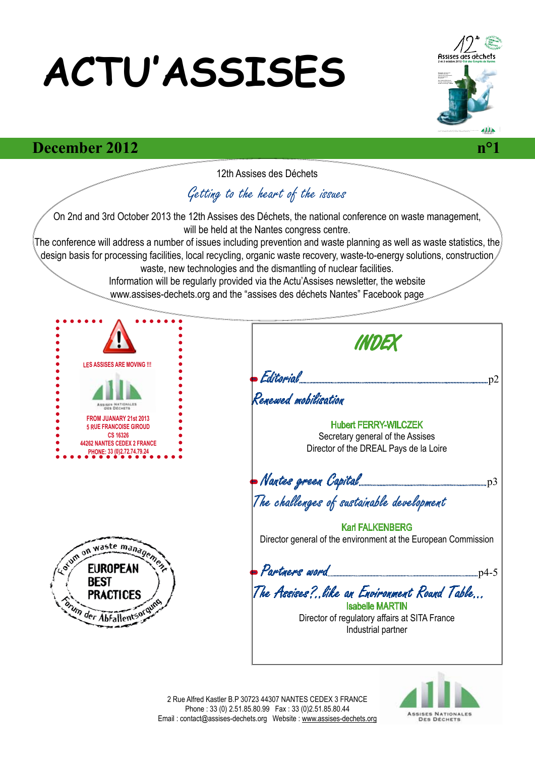# **ACTU'ASSISES**



#### **December 2012** *n°1*



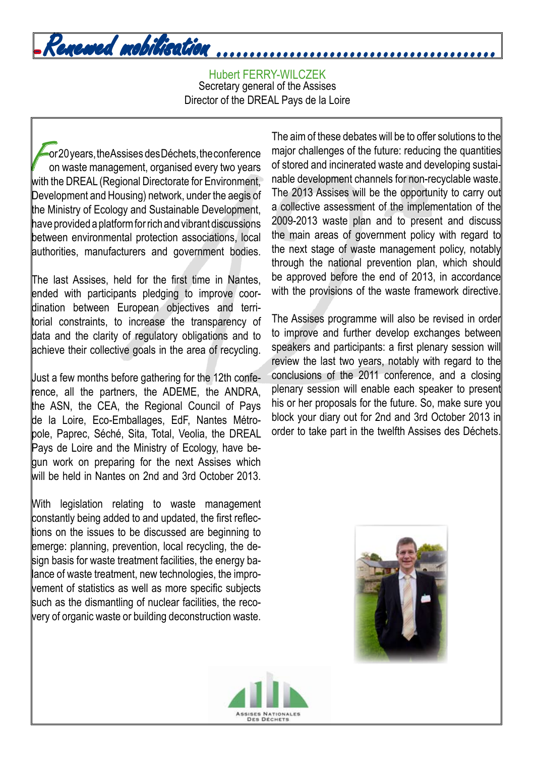## - Renewed mobilisation ..........................................

Hubert FERRY-WILCZEK Secretary general of the Assises Director of the DREAL Pays de la Loire

or 20 years, the Assises des Déchets, the conference on waste management, organised every two years with the DREAL (Regional Directorate for Environment, Development and Housing) network, under the aegis of the Ministry of Ecology and Sustainable Development, have provided a platform for rich and vibrant discussions between environmental protection associations, local authorities, manufacturers and government bodies.

The last Assises, held for the first time in Nantes, ended with participants pledging to improve coordination between European objectives and territorial constraints, to increase the transparency of data and the clarity of regulatory obligations and to achieve their collective goals in the area of recycling.

Just a few months before gathering for the 12th conference, all the partners, the ADEME, the ANDRA, the ASN, the CEA, the Regional Council of Pays de la Loire, Eco-Emballages, EdF, Nantes Métropole, Paprec, Séché, Sita, Total, Veolia, the DREAL Pays de Loire and the Ministry of Ecology, have begun work on preparing for the next Assises which will be held in Nantes on 2nd and 3rd October 2013.

With legislation relating to waste management constantly being added to and updated, the first reflections on the issues to be discussed are beginning to emerge: planning, prevention, local recycling, the design basis for waste treatment facilities, the energy balance of waste treatment, new technologies, the improvement of statistics as well as more specific subjects such as the dismantling of nuclear facilities, the recovery of organic waste or building deconstruction waste.

The aim of these debates will be to offer solutions to the major challenges of the future: reducing the quantities of stored and incinerated waste and developing sustainable development channels for non-recyclable waste. The 2013 Assises will be the opportunity to carry out a collective assessment of the implementation of the 2009-2013 waste plan and to present and discuss the main areas of government policy with regard to the next stage of waste management policy, notably through the national prevention plan, which should be approved before the end of 2013, in accordance with the provisions of the waste framework directive.

The Assises programme will also be revised in order to improve and further develop exchanges between speakers and participants: a first plenary session will review the last two years, notably with regard to the conclusions of the 2011 conference, and a closing plenary session will enable each speaker to present his or her proposals for the future. So, make sure you block your diary out for 2nd and 3rd October 2013 in order to take part in the twelfth Assises des Déchets.



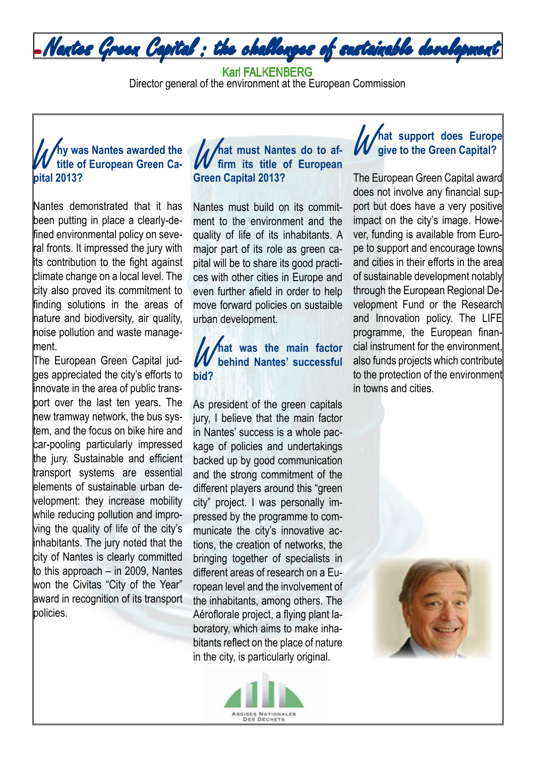

#### Karl FALKENBERG

Director general of the environment at the European Commission

#### **Why was Nantes awarded the**<br> **White of European Green Ca-**<br>
pital 2013? **title of European Green Capital 2013?**

Nantes demonstrated that it has been putting in place a clearly-defined environmental policy on several fronts. It impressed the jury with its contribution to the fight against climate change on a local level. The city also proved its commitment to finding solutions in the areas of nature and biodiversity, air quality, noise pollution and waste management.

The European Green Capital judges appreciated the city's efforts to innovate in the area of public transport over the last ten years. The new tramway network, the bus system, and the focus on bike hire and car-pooling particularly impressed the jury. Sustainable and efficient transport systems are essential elements of sustainable urban development: they increase mobility while reducing pollution and improving the quality of life of the city's inhabitants. The jury noted that the city of Nantes is clearly committed to this approach – in 2009, Nantes won the Civitas "City of the Year" award in recognition of its transport policies.

#### *M* hat must Nantes do to afficient that the of European Green Capital 2013? **firm its title of European Green Capital 2013?**

Nantes must build on its commitment to the environment and the quality of life of its inhabitants. A major part of its role as green capital will be to share its good practices with other cities in Europe and even further afield in order to help move forward policies on sustaible urban development.

#### W**hat was the main factor behind Nantes' successful bid?**

As president of the green capitals jury, I believe that the main factor in Nantes' success is a whole package of policies and undertakings backed up by good communication and the strong commitment of the different players around this "green city" project. I was personally impressed by the programme to communicate the city's innovative actions, the creation of networks, the bringing together of specialists in different areas of research on a European level and the involvement of the inhabitants, among others. The Aéroflorale project, a flying plant laboratory, which aims to make inhabitants reflect on the place of nature in the city, is particularly original.



#### **// hat support does Europe give to the Green Capital?**

The European Green Capital award does not involve any financial support but does have a very positive impact on the city's image. However, funding is available from Europe to support and encourage towns and cities in their efforts in the area of sustainable development notably through the European Regional Development Fund or the Research and Innovation policy. The LIFE programme, the European financial instrument for the environment, also funds projects which contribute to the protection of the environment in towns and cities.

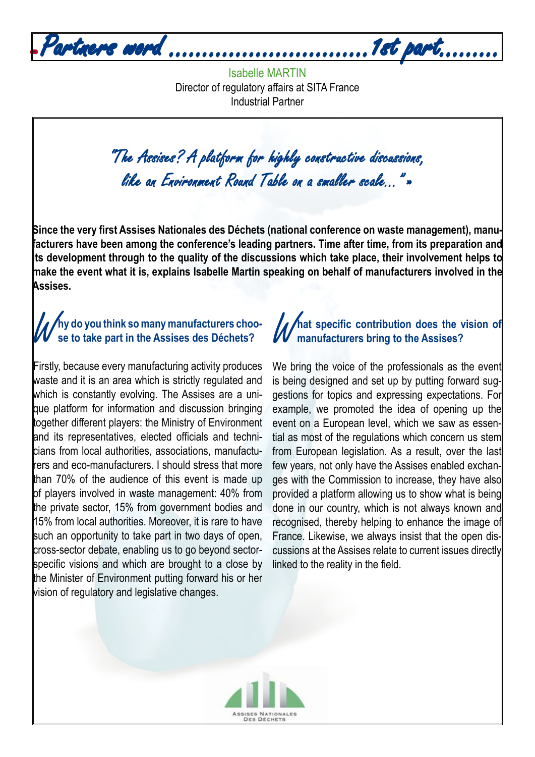- Partners word ..............................1st part.........

Isabelle MARTIN Director of regulatory affairs at SITA France Industrial Partner

"The Assises? A platform for highly constructive discussions, like an Environment Round Table on a smaller scale…" »

**Since the very first Assises Nationales des Déchets (national conference on waste management), manufacturers have been among the conference's leading partners. Time after time, from its preparation and its development through to the quality of the discussions which take place, their involvement helps to make the event what it is, explains Isabelle Martin speaking on behalf of manufacturers involved in the Assises.**

#### **/** Ay do you think so many manufacturers choo**se to take part in the Assises des Déchets?**

Firstly, because every manufacturing activity produces waste and it is an area which is strictly regulated and which is constantly evolving. The Assises are a unique platform for information and discussion bringing together different players: the Ministry of Environment and its representatives, elected officials and technicians from local authorities, associations, manufacturers and eco-manufacturers. I should stress that more than 70% of the audience of this event is made up of players involved in waste management: 40% from the private sector, 15% from government bodies and 15% from local authorities. Moreover, it is rare to have such an opportunity to take part in two days of open, cross-sector debate, enabling us to go beyond sectorspecific visions and which are brought to a close by the Minister of Environment putting forward his or her vision of regulatory and legislative changes.

#### **Anat specific contribution does the vision of manufacturers bring to the Assises?**

We bring the voice of the professionals as the event is being designed and set up by putting forward suggestions for topics and expressing expectations. For example, we promoted the idea of opening up the event on a European level, which we saw as essential as most of the regulations which concern us stem from European legislation. As a result, over the last few years, not only have the Assises enabled exchanges with the Commission to increase, they have also provided a platform allowing us to show what is being done in our country, which is not always known and recognised, thereby helping to enhance the image of France. Likewise, we always insist that the open discussions at the Assises relate to current issues directly linked to the reality in the field.

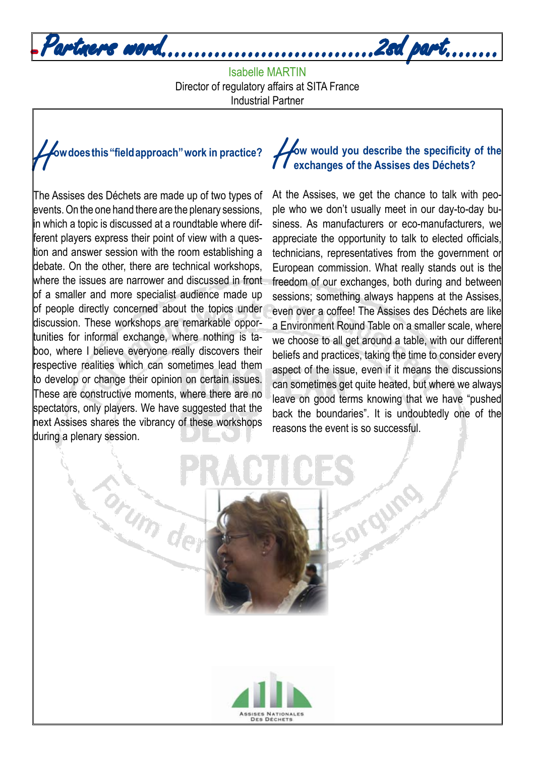

Isabelle MARTIN Director of regulatory affairs at SITA France Industrial Partner



The Assises des Déchets are made up of two types of events. On the one hand there are the plenary sessions, in which a topic is discussed at a roundtable where different players express their point of view with a question and answer session with the room establishing a debate. On the other, there are technical workshops, where the issues are narrower and discussed in front of a smaller and more specialist audience made up of people directly concerned about the topics under discussion. These workshops are remarkable opportunities for informal exchange, where nothing is taboo, where I believe everyone really discovers their respective realities which can sometimes lead them to develop or change their opinion on certain issues. These are constructive moments, where there are no spectators, only players. We have suggested that the next Assises shares the vibrancy of these workshops during a plenary session.

Corum dev

### **How would you describe the specificity of the exchanges of the Assises des Déchets? exchanges of the Assises des Déchets?**

At the Assises, we get the chance to talk with people who we don't usually meet in our day-to-day business. As manufacturers or eco-manufacturers, we appreciate the opportunity to talk to elected officials, technicians, representatives from the government or European commission. What really stands out is the freedom of our exchanges, both during and between sessions; something always happens at the Assises, even over a coffee! The Assises des Déchets are like a Environment Round Table on a smaller scale, where we choose to all get around a table, with our different beliefs and practices, taking the time to consider every aspect of the issue, even if it means the discussions can sometimes get quite heated, but where we always leave on good terms knowing that we have "pushed back the boundaries". It is undoubtedly one of the reasons the event is so successful.